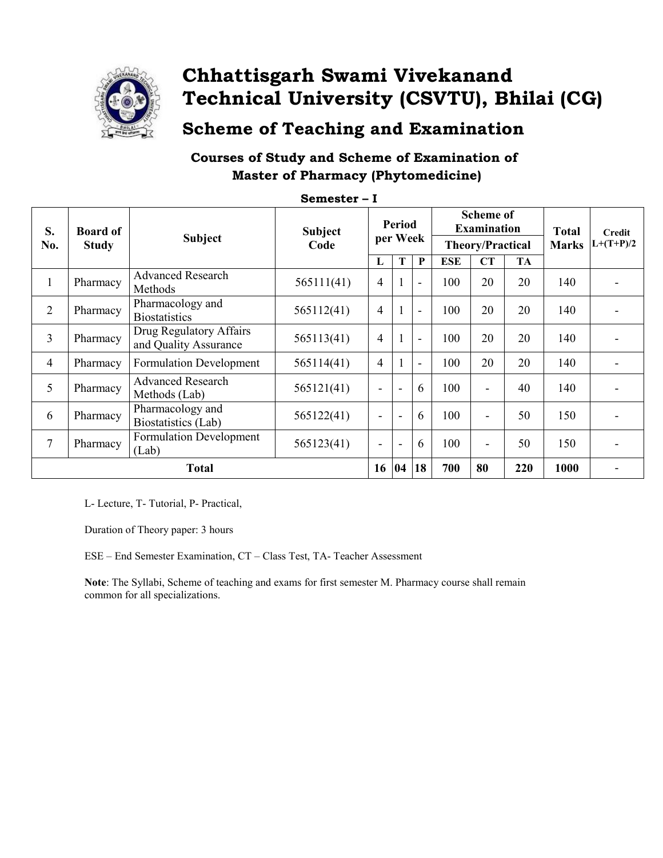

### Chhattisgarh Swami Vivekanand **Technical University (CSVTU), Bhilai (CG)**

### **Scheme of Teaching and Examination**

#### **Courses of Study and Scheme of Examination of Master of Pharmacy (Phytomedicine)**

| Semester – I   |                                 |                                                  |                        |                          |                |                                        |                         |                          |              |              |             |
|----------------|---------------------------------|--------------------------------------------------|------------------------|--------------------------|----------------|----------------------------------------|-------------------------|--------------------------|--------------|--------------|-------------|
| S.             | <b>Board of</b><br><b>Study</b> | <b>Subject</b>                                   | <b>Subject</b><br>Code | Period<br>per Week       |                | <b>Scheme of</b><br><b>Examination</b> |                         |                          | <b>Total</b> | Credit       |             |
| No.            |                                 |                                                  |                        |                          |                |                                        | <b>Theory/Practical</b> |                          |              | <b>Marks</b> | $L+(T+P)/2$ |
|                |                                 |                                                  |                        | L                        | T              | $\mathbf{P}$                           | <b>ESE</b>              | CT                       | <b>TA</b>    |              |             |
| $\mathbf{1}$   | Pharmacy                        | Advanced Research<br>Methods                     | 565111(41)             | $\overline{4}$           | $\mathbf{1}$   | $\overline{\phantom{0}}$               | 100                     | 20                       | 20           | 140          |             |
| $\overline{2}$ | Pharmacy                        | Pharmacology and<br><b>Biostatistics</b>         | 565112(41)             | $\overline{4}$           | $\mathbf{1}$   | $\blacksquare$                         | 100                     | 20                       | 20           | 140          |             |
| 3              | Pharmacy                        | Drug Regulatory Affairs<br>and Quality Assurance | 565113(41)             | $\overline{4}$           | $\mathbf{1}$   | $\overline{a}$                         | 100                     | 20                       | 20           | 140          |             |
| 4              | Pharmacy                        | <b>Formulation Development</b>                   | 565114(41)             | $\overline{4}$           | $\mathbf{1}$   | $\blacksquare$                         | 100                     | 20                       | 20           | 140          |             |
| 5              | Pharmacy                        | <b>Advanced Research</b><br>Methods (Lab)        | 565121(41)             | $\overline{\phantom{a}}$ | ÷,             | 6                                      | 100                     | ۰                        | 40           | 140          |             |
| 6              | Pharmacy                        | Pharmacology and<br>Biostatistics (Lab)          | 565122(41)             | $\overline{\phantom{a}}$ | $\blacksquare$ | 6                                      | 100                     | $\overline{\phantom{a}}$ | 50           | 150          |             |
| 7              | Pharmacy                        | <b>Formulation Development</b><br>(Lab)          | 565123(41)             | $\overline{\phantom{a}}$ | $\overline{a}$ | 6                                      | 100                     |                          | 50           | 150          |             |
| <b>Total</b>   |                                 |                                                  |                        | 16                       | 04             | 18                                     | 700                     | 80                       | 220          | 1000         |             |

L- Lecture, T- Tutorial, P- Practical,

Duration of Theory paper: 3 hours

ESE - End Semester Examination, CT - Class Test, TA- Teacher Assessment

Note: The Syllabi, Scheme of teaching and exams for first semester M. Pharmacy course shall remain common for all specializations.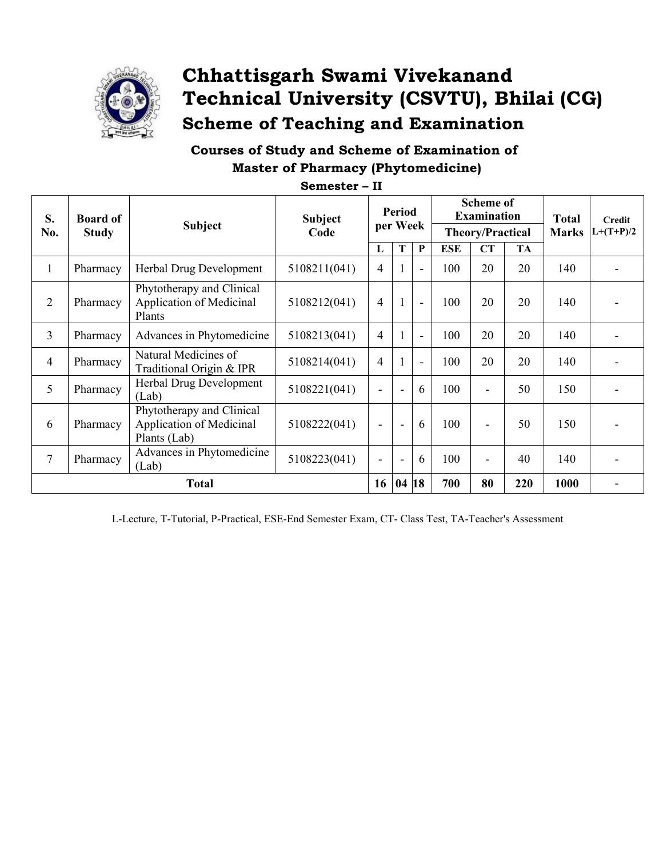

## Chhattisgarh Swami Vivekanand Technical University (CSVTU), Bhilai (CG) **Scheme of Teaching and Examination**

#### Courses of Study and Scheme of Examination of **Master of Pharmacy (Phytomedicine)**

Semester - II

| S.<br>No.      | <b>Board of</b><br><b>Study</b> | <b>Subject</b>                                                        | Subject<br>Code | Period<br>per Week |                          | <b>Scheme of</b><br><b>Examination</b><br><b>Theory/Practical</b> |            |                          | <b>Total</b><br><b>Marks</b> | Credit<br>$L+(T+P)/2$ |  |
|----------------|---------------------------------|-----------------------------------------------------------------------|-----------------|--------------------|--------------------------|-------------------------------------------------------------------|------------|--------------------------|------------------------------|-----------------------|--|
|                |                                 |                                                                       |                 | L                  | T                        | $\mathbf{P}$                                                      | <b>ESE</b> | CT                       | <b>TA</b>                    |                       |  |
| $\mathbf{1}$   | Pharmacy                        | Herbal Drug Development                                               | 5108211(041)    | 4                  | $\mathbf{1}$             | $\blacksquare$                                                    | 100        | 20                       | 20                           | 140                   |  |
| $\overline{2}$ | Pharmacy                        | Phytotherapy and Clinical<br>Application of Medicinal<br>Plants       | 5108212(041)    | $\overline{4}$     | 1                        | $\overline{\phantom{a}}$                                          | 100        | 20                       | 20                           | 140                   |  |
| 3              | Pharmacy                        | Advances in Phytomedicine                                             | 5108213(041)    | $\overline{4}$     | $\mathbf{1}$             | $\blacksquare$                                                    | 100        | 20                       | 20                           | 140                   |  |
| 4              | Pharmacy                        | Natural Medicines of<br>Traditional Origin & IPR                      | 5108214(041)    | $\overline{4}$     | $\mathbf{1}$             | $\blacksquare$                                                    | 100        | 20                       | 20                           | 140                   |  |
| 5              | Pharmacy                        | Herbal Drug Development<br>(Lab)                                      | 5108221(041)    |                    | $\blacksquare$           | 6                                                                 | 100        | ٠                        | 50                           | 150                   |  |
| 6              | Pharmacy                        | Phytotherapy and Clinical<br>Application of Medicinal<br>Plants (Lab) | 5108222(041)    | $\blacksquare$     | $\blacksquare$           | 6                                                                 | 100        | $\blacksquare$           | 50                           | 150                   |  |
| 7              | Pharmacy                        | Advances in Phytomedicine<br>(Lab)                                    | 5108223(041)    | $\blacksquare$     | $\overline{\phantom{a}}$ | 6                                                                 | 100        | $\overline{\phantom{a}}$ | 40                           | 140                   |  |
| <b>Total</b>   |                                 |                                                                       |                 |                    | 04                       | 18                                                                | 700        | 80                       | 220                          | 1000                  |  |

L-Lecture, T-Tutorial, P-Practical, ESE-End Semester Exam, CT- Class Test, TA-Teacher's Assessment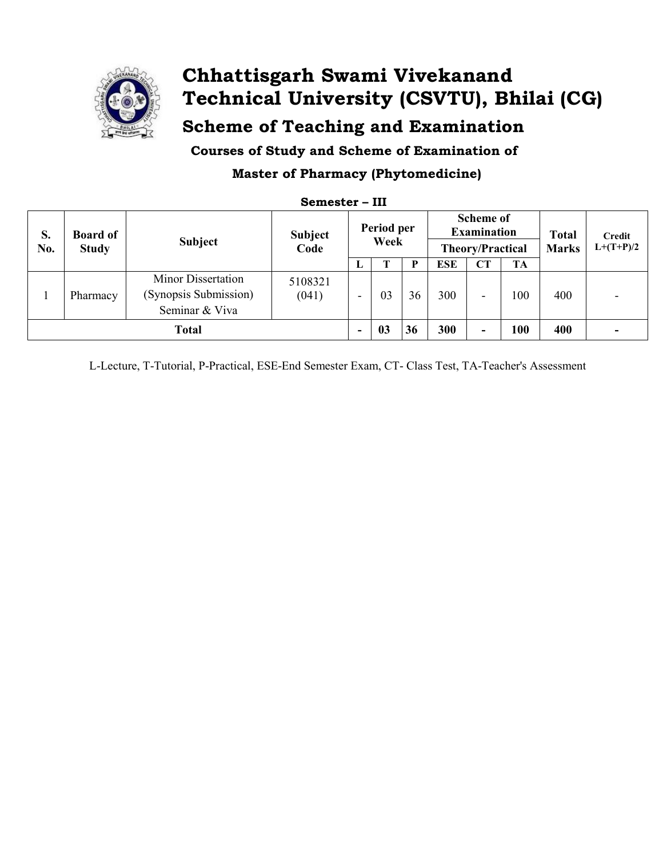

# Chhattisgarh Swami Vivekanand Technical University (CSVTU), Bhilai (CG) **Scheme of Teaching and Examination** Courses of Study and Scheme of Examination of

#### **Master of Pharmacy (Phytomedicine)**

| S.<br>No. | <b>Board of</b><br><b>Study</b> | <b>Subject</b>                                                       | <b>Subject</b><br>Code | Period per<br>Week |    |    | <b>Scheme of</b><br><b>Examination</b><br><b>Theory/Practical</b> |    |           | <b>Total</b><br><b>Marks</b> | <b>Credit</b><br>$L+(T+P)/2$ |
|-----------|---------------------------------|----------------------------------------------------------------------|------------------------|--------------------|----|----|-------------------------------------------------------------------|----|-----------|------------------------------|------------------------------|
|           |                                 |                                                                      |                        | ப                  |    |    | <b>ESE</b>                                                        | CT | <b>TA</b> |                              |                              |
|           | Pharmacy                        | <b>Minor Dissertation</b><br>(Synopsis Submission)<br>Seminar & Viva | 5108321<br>(041)       |                    | 03 | 36 | 300                                                               |    | 100       | 400                          |                              |
| Total     |                                 |                                                                      |                        |                    | 03 | 36 | 300                                                               |    | 100       | 400                          |                              |

Semester - III

L-Lecture, T-Tutorial, P-Practical, ESE-End Semester Exam, CT- Class Test, TA-Teacher's Assessment